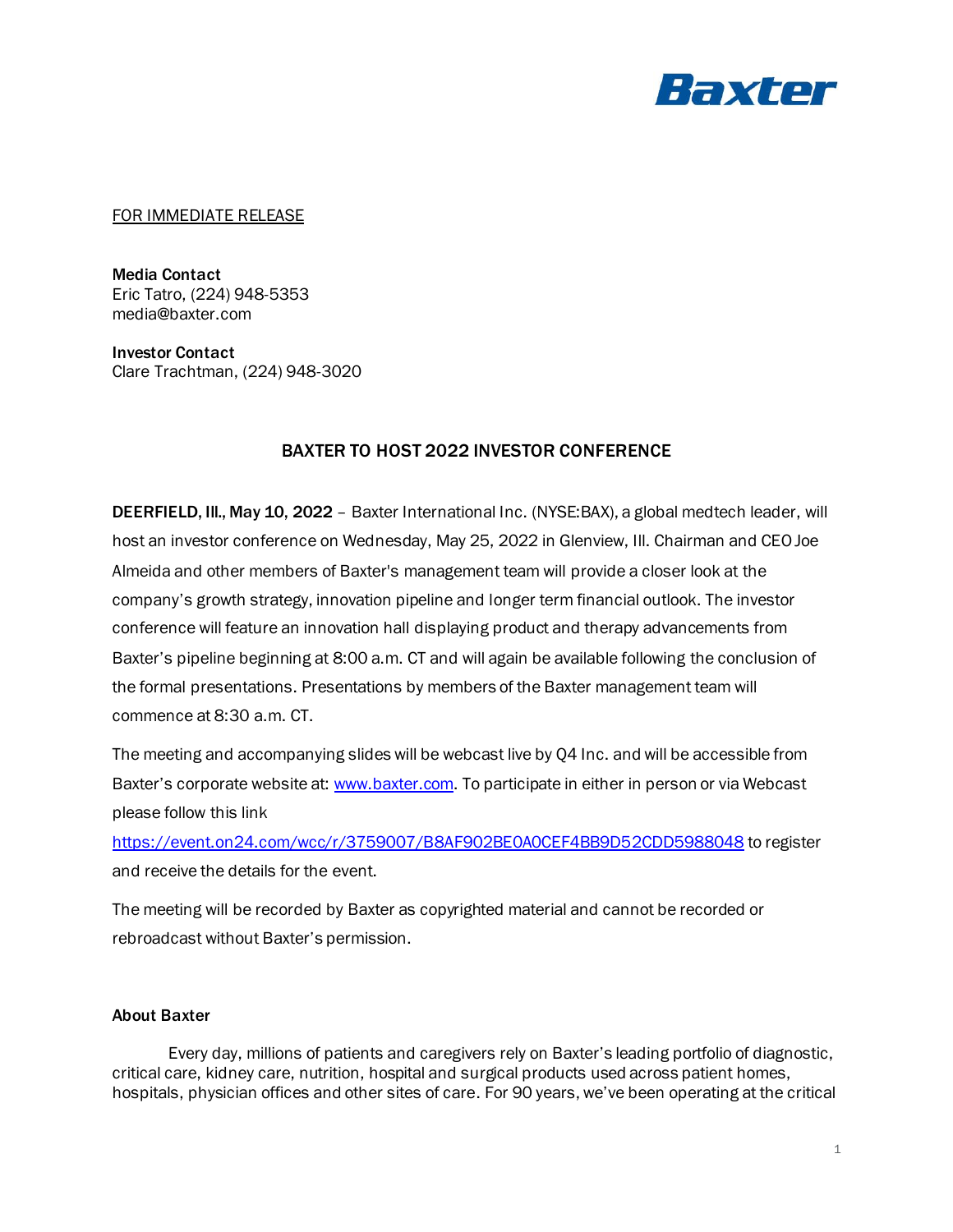

## FOR IMMEDIATE RELEASE

Media Contact Eric Tatro, (224) 948-5353 media@baxter.com

Investor Contact Clare Trachtman, (224) 948-3020

## BAXTER TO HOST 2022 INVESTOR CONFERENCE

DEERFIELD, Ill., May 10, 2022 – Baxter International Inc. (NYSE:BAX), a global medtech leader, will host an investor conference on Wednesday, May 25, 2022 in Glenview, Ill. Chairman and CEO Joe Almeida and other members of Baxter's management team will provide a closer look at the company's growth strategy, innovation pipeline and longer term financial outlook. The investor conference will feature an innovation hall displaying product and therapy advancements from Baxter's pipeline beginning at 8:00 a.m. CT and will again be available following the conclusion of the formal presentations. Presentations by members of the Baxter management team will commence at 8:30 a.m. CT.

The meeting and accompanying slides will be webcast live by Q4 Inc. and will be accessible from Baxter's corporate website at: [www.baxter.com.](https://www.baxter.com/) To participate in either in person or via Webcast please follow this link

<https://event.on24.com/wcc/r/3759007/B8AF902BE0A0CEF4BB9D52CDD5988048> to register and receive the details for the event.

The meeting will be recorded by Baxter as copyrighted material and cannot be recorded or rebroadcast without Baxter's permission.

## About Baxter

Every day, millions of patients and caregivers rely on Baxter's leading portfolio of diagnostic, critical care, kidney care, nutrition, hospital and surgical products used across patient homes, hospitals, physician offices and other sites of care. For 90 years, we've been operating at the critical